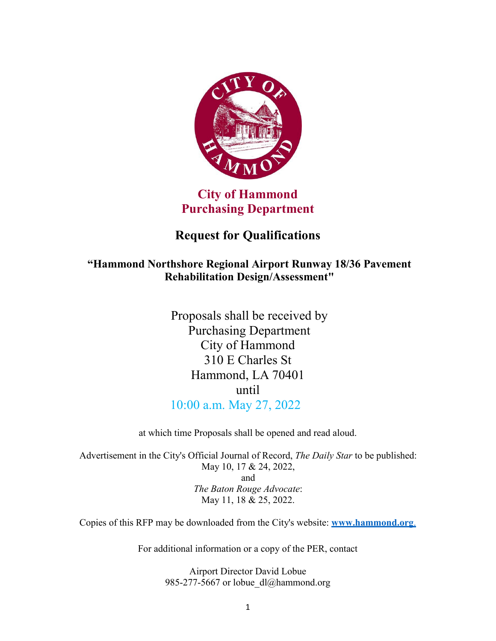

## **City of Hammond Purchasing Department**

# **Request for Qualifications**

### **"Hammond Northshore Regional Airport Runway 18/36 Pavement Rehabilitation Design/Assessment"**

Proposals shall be received by Purchasing Department City of Hammond 310 E Charles St Hammond, LA 70401 until 10:00 a.m. May 27, 2022

at which time Proposals shall be opened and read aloud.

Advertisement in the City's Official Journal of Record, *The Daily Star* to be published: May 10, 17 & 24, 2022, and *The Baton Rouge Advocate*: May 11, 18 & 25, 2022.

Copies of this RFP may be downloaded from the City's website: **[www.hammond.org](http://www.hammond.org/)**.

For additional information or a copy of the PER, contact

Airport Director David Lobue 985-277-5667 or lobue  $dl@$ hammond.org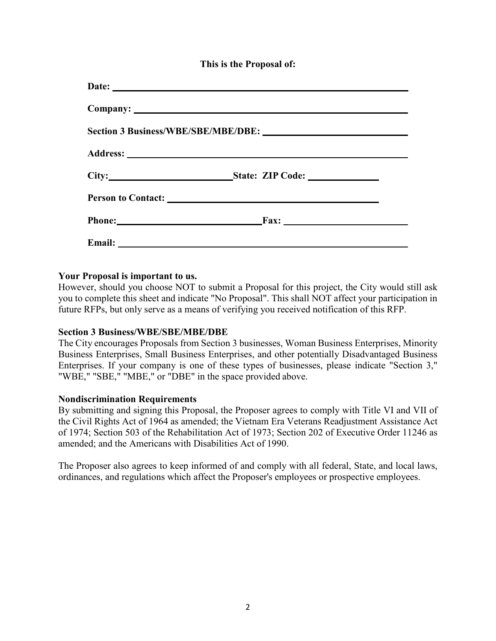**This is the Proposal of:**

| Phone: Fax: |  |
|-------------|--|
|             |  |

#### **Your Proposal is important to us.**

However, should you choose NOT to submit a Proposal for this project, the City would still ask you to complete this sheet and indicate "No Proposal". This shall NOT affect your participation in future RFPs, but only serve as a means of verifying you received notification of this RFP.

#### **Section 3 Business/WBE/SBE/MBE/DBE**

The City encourages Proposals from Section 3 businesses, Woman Business Enterprises, Minority Business Enterprises, Small Business Enterprises, and other potentially Disadvantaged Business Enterprises. If your company is one of these types of businesses, please indicate "Section 3," "WBE," "SBE," "MBE," or "DBE" in the space provided above.

#### **Nondiscrimination Requirements**

By submitting and signing this Proposal, the Proposer agrees to comply with Title VI and VII of the Civil Rights Act of 1964 as amended; the Vietnam Era Veterans Readjustment Assistance Act of 1974; Section 503 of the Rehabilitation Act of 1973; Section 202 of Executive Order 11246 as amended; and the Americans with Disabilities Act of 1990.

The Proposer also agrees to keep informed of and comply with all federal, State, and local laws, ordinances, and regulations which affect the Proposer's employees or prospective employees.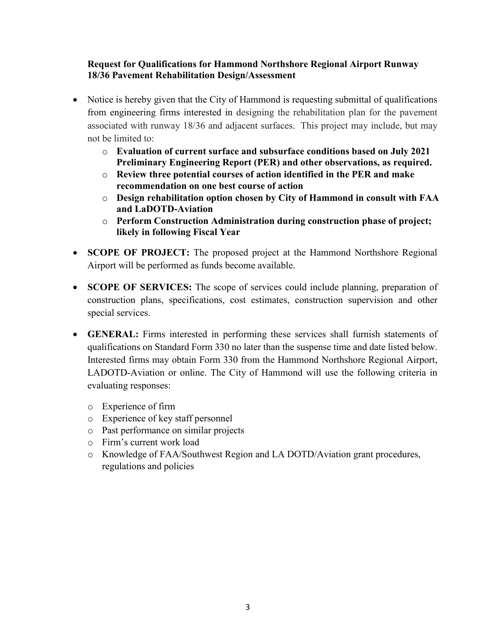#### **Request for Qualifications for Hammond Northshore Regional Airport Runway 18/36 Pavement Rehabilitation Design/Assessment**

- Notice is hereby given that the City of Hammond is requesting submittal of qualifications from engineering firms interested in designing the rehabilitation plan for the pavement associated with runway 18/36 and adjacent surfaces. This project may include, but may not be limited to:
	- o **Evaluation of current surface and subsurface conditions based on July 2021 Preliminary Engineering Report (PER) and other observations, as required.**
	- o **Review three potential courses of action identified in the PER and make recommendation on one best course of action**
	- o **Design rehabilitation option chosen by City of Hammond in consult with FAA and LaDOTD-Aviation**
	- o **Perform Construction Administration during construction phase of project; likely in following Fiscal Year**
- **SCOPE OF PROJECT:** The proposed project at the Hammond Northshore Regional Airport will be performed as funds become available.
- **SCOPE OF SERVICES:** The scope of services could include planning, preparation of construction plans, specifications, cost estimates, construction supervision and other special services.
- **GENERAL:** Firms interested in performing these services shall furnish statements of qualifications on Standard Form 330 no later than the suspense time and date listed below. Interested firms may obtain Form 330 from the Hammond Northshore Regional Airport, LADOTD-Aviation or online. The City of Hammond will use the following criteria in evaluating responses:
	- o Experience of firm
	- o Experience of key staff personnel
	- o Past performance on similar projects
	- o Firm's current work load
	- o Knowledge of FAA/Southwest Region and LA DOTD/Aviation grant procedures, regulations and policies